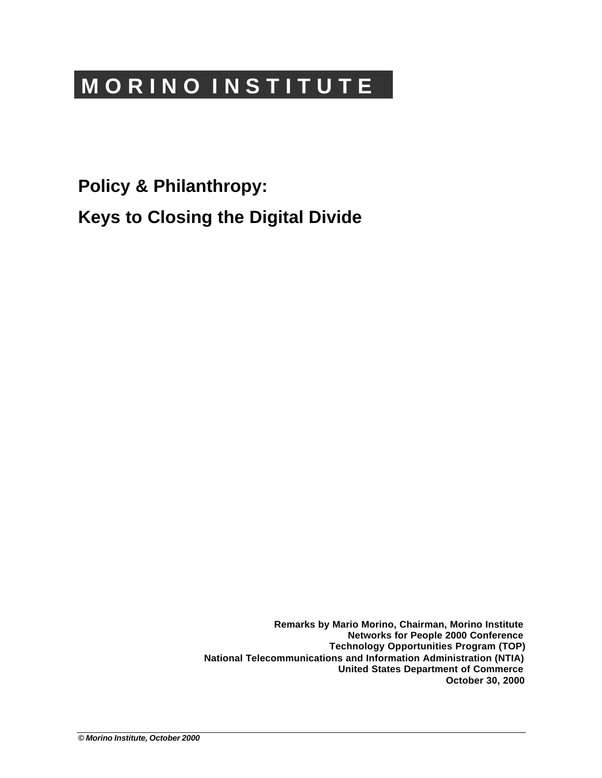# **M O R I N O I N S T I T U T E**

**Policy & Philanthropy:**

**Keys to Closing the Digital Divide**

**Remarks by Mario Morino, Chairman, Morino Institute Networks for People 2000 Conference Technology Opportunities Program (TOP) National Telecommunications and Information Administration (NTIA) United States Department of Commerce October 30, 2000**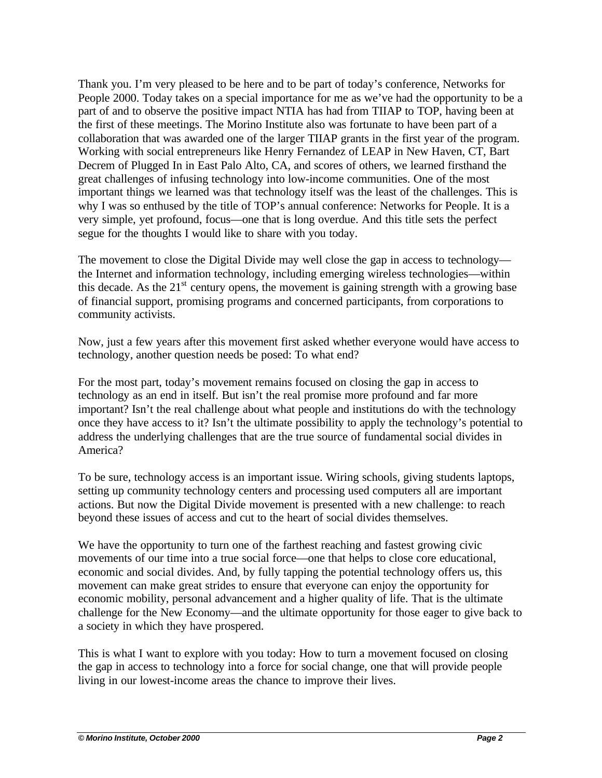Thank you. I'm very pleased to be here and to be part of today's conference, Networks for People 2000. Today takes on a special importance for me as we've had the opportunity to be a part of and to observe the positive impact NTIA has had from TIIAP to TOP, having been at the first of these meetings. The Morino Institute also was fortunate to have been part of a collaboration that was awarded one of the larger TIIAP grants in the first year of the program. Working with social entrepreneurs like Henry Fernandez of LEAP in New Haven, CT, Bart Decrem of Plugged In in East Palo Alto, CA, and scores of others, we learned firsthand the great challenges of infusing technology into low-income communities. One of the most important things we learned was that technology itself was the least of the challenges. This is why I was so enthused by the title of TOP's annual conference: Networks for People. It is a very simple, yet profound, focus—one that is long overdue. And this title sets the perfect segue for the thoughts I would like to share with you today.

The movement to close the Digital Divide may well close the gap in access to technology the Internet and information technology, including emerging wireless technologies—within this decade. As the  $21<sup>st</sup>$  century opens, the movement is gaining strength with a growing base of financial support, promising programs and concerned participants, from corporations to community activists.

Now, just a few years after this movement first asked whether everyone would have access to technology, another question needs be posed: To what end?

For the most part, today's movement remains focused on closing the gap in access to technology as an end in itself. But isn't the real promise more profound and far more important? Isn't the real challenge about what people and institutions do with the technology once they have access to it? Isn't the ultimate possibility to apply the technology's potential to address the underlying challenges that are the true source of fundamental social divides in America?

To be sure, technology access is an important issue. Wiring schools, giving students laptops, setting up community technology centers and processing used computers all are important actions. But now the Digital Divide movement is presented with a new challenge: to reach beyond these issues of access and cut to the heart of social divides themselves.

We have the opportunity to turn one of the farthest reaching and fastest growing civic movements of our time into a true social force—one that helps to close core educational, economic and social divides. And, by fully tapping the potential technology offers us, this movement can make great strides to ensure that everyone can enjoy the opportunity for economic mobility, personal advancement and a higher quality of life. That is the ultimate challenge for the New Economy—and the ultimate opportunity for those eager to give back to a society in which they have prospered.

This is what I want to explore with you today: How to turn a movement focused on closing the gap in access to technology into a force for social change, one that will provide people living in our lowest-income areas the chance to improve their lives.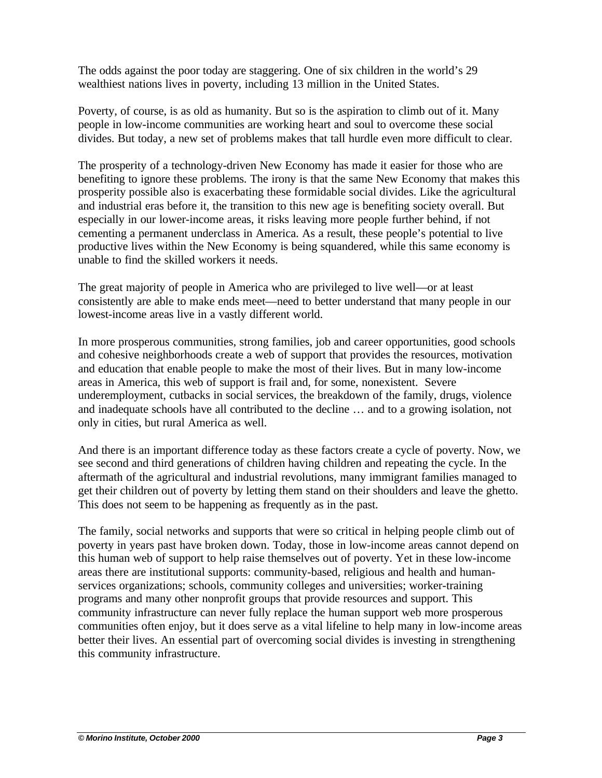The odds against the poor today are staggering. One of six children in the world's 29 wealthiest nations lives in poverty, including 13 million in the United States.

Poverty, of course, is as old as humanity. But so is the aspiration to climb out of it. Many people in low-income communities are working heart and soul to overcome these social divides. But today, a new set of problems makes that tall hurdle even more difficult to clear.

The prosperity of a technology-driven New Economy has made it easier for those who are benefiting to ignore these problems. The irony is that the same New Economy that makes this prosperity possible also is exacerbating these formidable social divides. Like the agricultural and industrial eras before it, the transition to this new age is benefiting society overall. But especially in our lower-income areas, it risks leaving more people further behind, if not cementing a permanent underclass in America. As a result, these people's potential to live productive lives within the New Economy is being squandered, while this same economy is unable to find the skilled workers it needs.

The great majority of people in America who are privileged to live well—or at least consistently are able to make ends meet—need to better understand that many people in our lowest-income areas live in a vastly different world.

In more prosperous communities, strong families, job and career opportunities, good schools and cohesive neighborhoods create a web of support that provides the resources, motivation and education that enable people to make the most of their lives. But in many low-income areas in America, this web of support is frail and, for some, nonexistent. Severe underemployment, cutbacks in social services, the breakdown of the family, drugs, violence and inadequate schools have all contributed to the decline … and to a growing isolation, not only in cities, but rural America as well.

And there is an important difference today as these factors create a cycle of poverty. Now, we see second and third generations of children having children and repeating the cycle. In the aftermath of the agricultural and industrial revolutions, many immigrant families managed to get their children out of poverty by letting them stand on their shoulders and leave the ghetto. This does not seem to be happening as frequently as in the past.

The family, social networks and supports that were so critical in helping people climb out of poverty in years past have broken down. Today, those in low-income areas cannot depend on this human web of support to help raise themselves out of poverty. Yet in these low-income areas there are institutional supports: community-based, religious and health and humanservices organizations; schools, community colleges and universities; worker-training programs and many other nonprofit groups that provide resources and support. This community infrastructure can never fully replace the human support web more prosperous communities often enjoy, but it does serve as a vital lifeline to help many in low-income areas better their lives. An essential part of overcoming social divides is investing in strengthening this community infrastructure.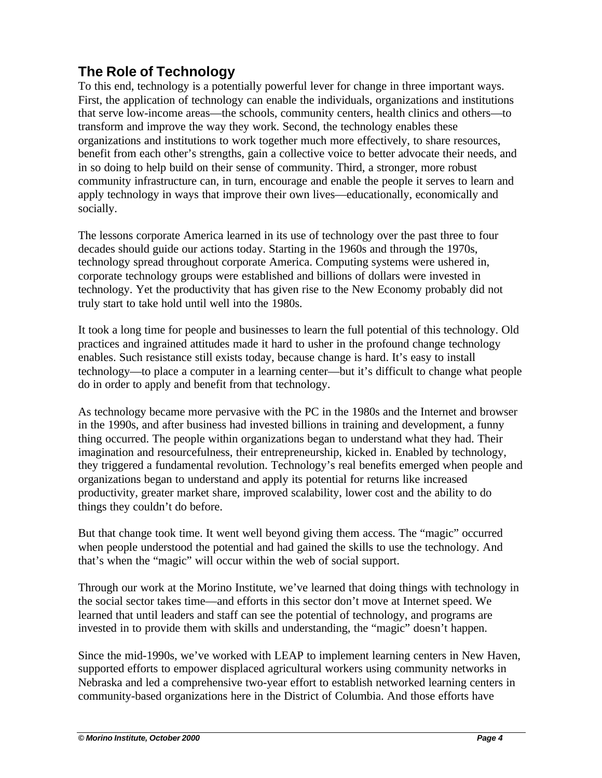# **The Role of Technology**

To this end, technology is a potentially powerful lever for change in three important ways. First, the application of technology can enable the individuals, organizations and institutions that serve low-income areas—the schools, community centers, health clinics and others—to transform and improve the way they work. Second, the technology enables these organizations and institutions to work together much more effectively, to share resources, benefit from each other's strengths, gain a collective voice to better advocate their needs, and in so doing to help build on their sense of community. Third, a stronger, more robust community infrastructure can, in turn, encourage and enable the people it serves to learn and apply technology in ways that improve their own lives—educationally, economically and socially.

The lessons corporate America learned in its use of technology over the past three to four decades should guide our actions today. Starting in the 1960s and through the 1970s, technology spread throughout corporate America. Computing systems were ushered in, corporate technology groups were established and billions of dollars were invested in technology. Yet the productivity that has given rise to the New Economy probably did not truly start to take hold until well into the 1980s.

It took a long time for people and businesses to learn the full potential of this technology. Old practices and ingrained attitudes made it hard to usher in the profound change technology enables. Such resistance still exists today, because change is hard. It's easy to install technology—to place a computer in a learning center—but it's difficult to change what people do in order to apply and benefit from that technology.

As technology became more pervasive with the PC in the 1980s and the Internet and browser in the 1990s, and after business had invested billions in training and development, a funny thing occurred. The people within organizations began to understand what they had. Their imagination and resourcefulness, their entrepreneurship, kicked in. Enabled by technology, they triggered a fundamental revolution. Technology's real benefits emerged when people and organizations began to understand and apply its potential for returns like increased productivity, greater market share, improved scalability, lower cost and the ability to do things they couldn't do before.

But that change took time. It went well beyond giving them access. The "magic" occurred when people understood the potential and had gained the skills to use the technology. And that's when the "magic" will occur within the web of social support.

Through our work at the Morino Institute, we've learned that doing things with technology in the social sector takes time—and efforts in this sector don't move at Internet speed. We learned that until leaders and staff can see the potential of technology, and programs are invested in to provide them with skills and understanding, the "magic" doesn't happen.

Since the mid-1990s, we've worked with LEAP to implement learning centers in New Haven, supported efforts to empower displaced agricultural workers using community networks in Nebraska and led a comprehensive two-year effort to establish networked learning centers in community-based organizations here in the District of Columbia. And those efforts have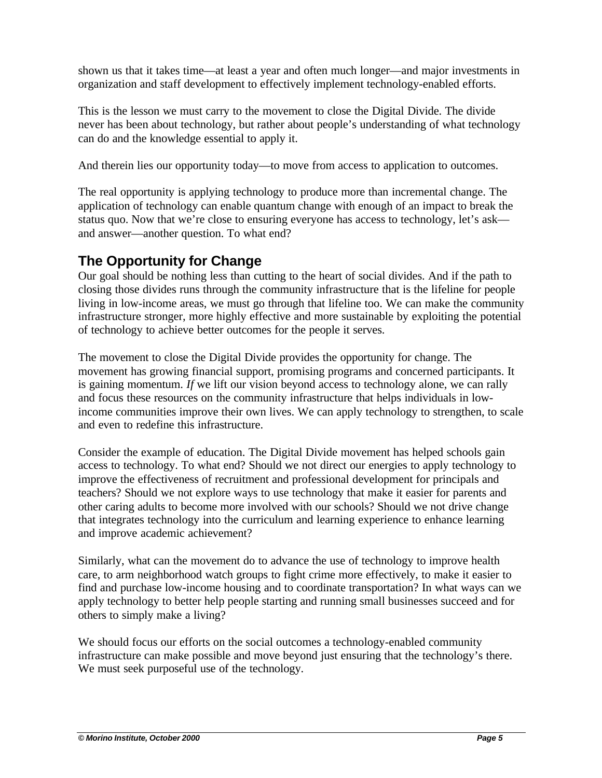shown us that it takes time—at least a year and often much longer—and major investments in organization and staff development to effectively implement technology-enabled efforts.

This is the lesson we must carry to the movement to close the Digital Divide. The divide never has been about technology, but rather about people's understanding of what technology can do and the knowledge essential to apply it.

And therein lies our opportunity today—to move from access to application to outcomes.

The real opportunity is applying technology to produce more than incremental change. The application of technology can enable quantum change with enough of an impact to break the status quo. Now that we're close to ensuring everyone has access to technology, let's ask and answer—another question. To what end?

## **The Opportunity for Change**

Our goal should be nothing less than cutting to the heart of social divides. And if the path to closing those divides runs through the community infrastructure that is the lifeline for people living in low-income areas, we must go through that lifeline too. We can make the community infrastructure stronger, more highly effective and more sustainable by exploiting the potential of technology to achieve better outcomes for the people it serves.

The movement to close the Digital Divide provides the opportunity for change. The movement has growing financial support, promising programs and concerned participants. It is gaining momentum. *If* we lift our vision beyond access to technology alone, we can rally and focus these resources on the community infrastructure that helps individuals in lowincome communities improve their own lives. We can apply technology to strengthen, to scale and even to redefine this infrastructure.

Consider the example of education. The Digital Divide movement has helped schools gain access to technology. To what end? Should we not direct our energies to apply technology to improve the effectiveness of recruitment and professional development for principals and teachers? Should we not explore ways to use technology that make it easier for parents and other caring adults to become more involved with our schools? Should we not drive change that integrates technology into the curriculum and learning experience to enhance learning and improve academic achievement?

Similarly, what can the movement do to advance the use of technology to improve health care, to arm neighborhood watch groups to fight crime more effectively, to make it easier to find and purchase low-income housing and to coordinate transportation? In what ways can we apply technology to better help people starting and running small businesses succeed and for others to simply make a living?

We should focus our efforts on the social outcomes a technology-enabled community infrastructure can make possible and move beyond just ensuring that the technology's there. We must seek purposeful use of the technology.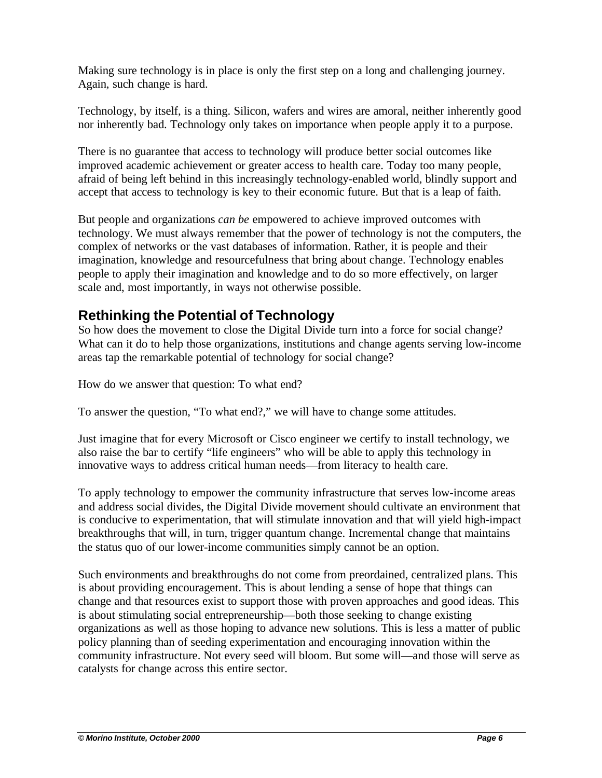Making sure technology is in place is only the first step on a long and challenging journey. Again, such change is hard.

Technology, by itself, is a thing. Silicon, wafers and wires are amoral, neither inherently good nor inherently bad. Technology only takes on importance when people apply it to a purpose.

There is no guarantee that access to technology will produce better social outcomes like improved academic achievement or greater access to health care. Today too many people, afraid of being left behind in this increasingly technology-enabled world, blindly support and accept that access to technology is key to their economic future. But that is a leap of faith.

But people and organizations *can be* empowered to achieve improved outcomes with technology. We must always remember that the power of technology is not the computers, the complex of networks or the vast databases of information. Rather, it is people and their imagination, knowledge and resourcefulness that bring about change. Technology enables people to apply their imagination and knowledge and to do so more effectively, on larger scale and, most importantly, in ways not otherwise possible.

## **Rethinking the Potential of Technology**

So how does the movement to close the Digital Divide turn into a force for social change? What can it do to help those organizations, institutions and change agents serving low-income areas tap the remarkable potential of technology for social change?

How do we answer that question: To what end?

To answer the question, "To what end?," we will have to change some attitudes.

Just imagine that for every Microsoft or Cisco engineer we certify to install technology, we also raise the bar to certify "life engineers" who will be able to apply this technology in innovative ways to address critical human needs—from literacy to health care.

To apply technology to empower the community infrastructure that serves low-income areas and address social divides, the Digital Divide movement should cultivate an environment that is conducive to experimentation, that will stimulate innovation and that will yield high-impact breakthroughs that will, in turn, trigger quantum change. Incremental change that maintains the status quo of our lower-income communities simply cannot be an option.

Such environments and breakthroughs do not come from preordained, centralized plans. This is about providing encouragement. This is about lending a sense of hope that things can change and that resources exist to support those with proven approaches and good ideas. This is about stimulating social entrepreneurship—both those seeking to change existing organizations as well as those hoping to advance new solutions. This is less a matter of public policy planning than of seeding experimentation and encouraging innovation within the community infrastructure. Not every seed will bloom. But some will—and those will serve as catalysts for change across this entire sector.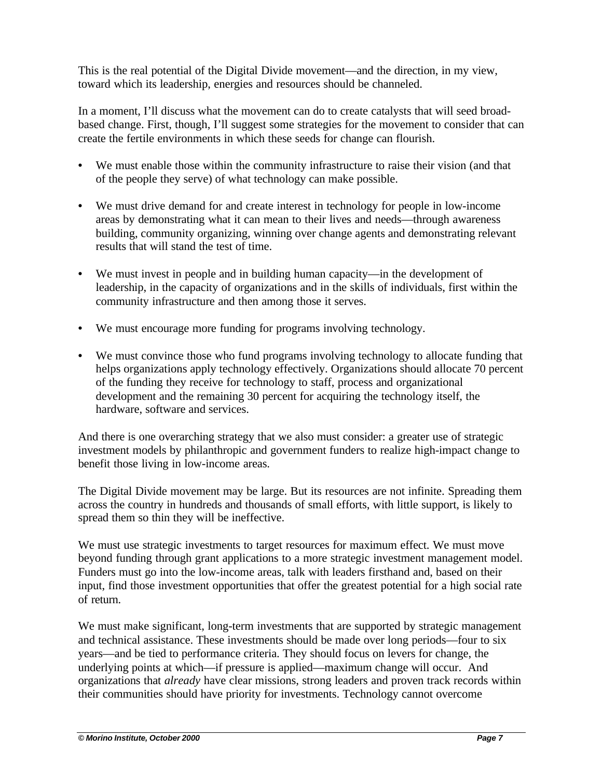This is the real potential of the Digital Divide movement—and the direction, in my view, toward which its leadership, energies and resources should be channeled.

In a moment, I'll discuss what the movement can do to create catalysts that will seed broadbased change. First, though, I'll suggest some strategies for the movement to consider that can create the fertile environments in which these seeds for change can flourish.

- We must enable those within the community infrastructure to raise their vision (and that of the people they serve) of what technology can make possible.
- We must drive demand for and create interest in technology for people in low-income areas by demonstrating what it can mean to their lives and needs—through awareness building, community organizing, winning over change agents and demonstrating relevant results that will stand the test of time.
- We must invest in people and in building human capacity—in the development of leadership, in the capacity of organizations and in the skills of individuals, first within the community infrastructure and then among those it serves.
- We must encourage more funding for programs involving technology.
- We must convince those who fund programs involving technology to allocate funding that helps organizations apply technology effectively. Organizations should allocate 70 percent of the funding they receive for technology to staff, process and organizational development and the remaining 30 percent for acquiring the technology itself, the hardware, software and services.

And there is one overarching strategy that we also must consider: a greater use of strategic investment models by philanthropic and government funders to realize high-impact change to benefit those living in low-income areas.

The Digital Divide movement may be large. But its resources are not infinite. Spreading them across the country in hundreds and thousands of small efforts, with little support, is likely to spread them so thin they will be ineffective.

We must use strategic investments to target resources for maximum effect. We must move beyond funding through grant applications to a more strategic investment management model. Funders must go into the low-income areas, talk with leaders firsthand and, based on their input, find those investment opportunities that offer the greatest potential for a high social rate of return.

We must make significant, long-term investments that are supported by strategic management and technical assistance. These investments should be made over long periods—four to six years—and be tied to performance criteria. They should focus on levers for change, the underlying points at which—if pressure is applied—maximum change will occur. And organizations that *already* have clear missions, strong leaders and proven track records within their communities should have priority for investments. Technology cannot overcome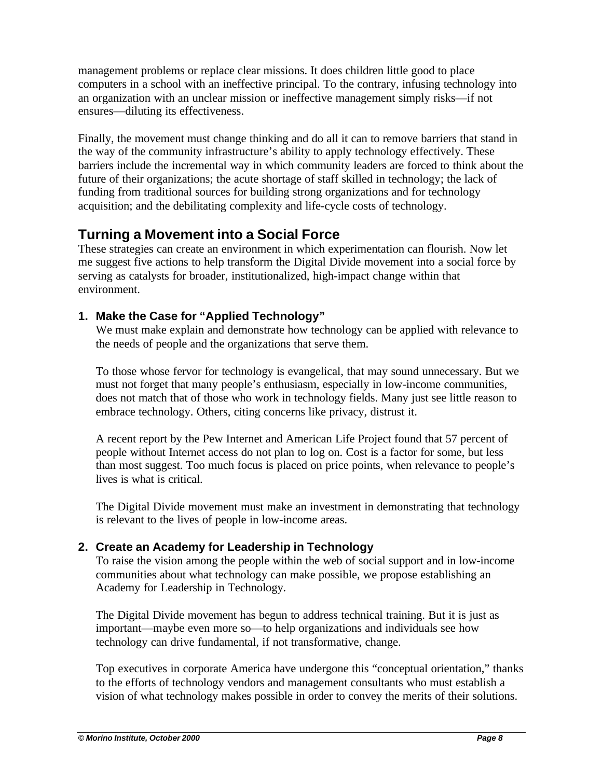management problems or replace clear missions. It does children little good to place computers in a school with an ineffective principal. To the contrary, infusing technology into an organization with an unclear mission or ineffective management simply risks—if not ensures—diluting its effectiveness.

Finally, the movement must change thinking and do all it can to remove barriers that stand in the way of the community infrastructure's ability to apply technology effectively. These barriers include the incremental way in which community leaders are forced to think about the future of their organizations; the acute shortage of staff skilled in technology; the lack of funding from traditional sources for building strong organizations and for technology acquisition; and the debilitating complexity and life-cycle costs of technology.

## **Turning a Movement into a Social Force**

These strategies can create an environment in which experimentation can flourish. Now let me suggest five actions to help transform the Digital Divide movement into a social force by serving as catalysts for broader, institutionalized, high-impact change within that environment.

### **1. Make the Case for "Applied Technology"**

We must make explain and demonstrate how technology can be applied with relevance to the needs of people and the organizations that serve them.

To those whose fervor for technology is evangelical, that may sound unnecessary. But we must not forget that many people's enthusiasm, especially in low-income communities, does not match that of those who work in technology fields. Many just see little reason to embrace technology. Others, citing concerns like privacy, distrust it.

A recent report by the Pew Internet and American Life Project found that 57 percent of people without Internet access do not plan to log on. Cost is a factor for some, but less than most suggest. Too much focus is placed on price points, when relevance to people's lives is what is critical.

The Digital Divide movement must make an investment in demonstrating that technology is relevant to the lives of people in low-income areas.

## **2. Create an Academy for Leadership in Technology**

To raise the vision among the people within the web of social support and in low-income communities about what technology can make possible, we propose establishing an Academy for Leadership in Technology.

The Digital Divide movement has begun to address technical training. But it is just as important—maybe even more so—to help organizations and individuals see how technology can drive fundamental, if not transformative, change.

Top executives in corporate America have undergone this "conceptual orientation," thanks to the efforts of technology vendors and management consultants who must establish a vision of what technology makes possible in order to convey the merits of their solutions.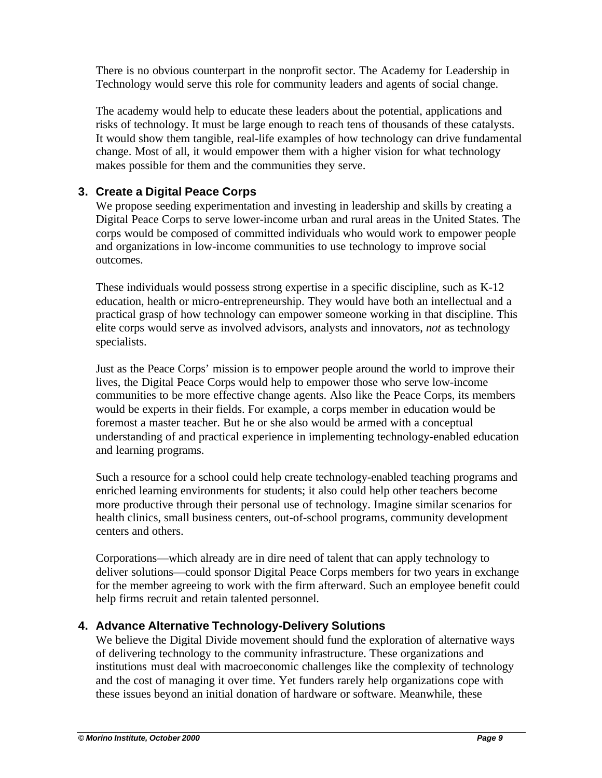There is no obvious counterpart in the nonprofit sector. The Academy for Leadership in Technology would serve this role for community leaders and agents of social change.

The academy would help to educate these leaders about the potential, applications and risks of technology. It must be large enough to reach tens of thousands of these catalysts. It would show them tangible, real-life examples of how technology can drive fundamental change. Most of all, it would empower them with a higher vision for what technology makes possible for them and the communities they serve.

#### **3. Create a Digital Peace Corps**

We propose seeding experimentation and investing in leadership and skills by creating a Digital Peace Corps to serve lower-income urban and rural areas in the United States. The corps would be composed of committed individuals who would work to empower people and organizations in low-income communities to use technology to improve social outcomes.

These individuals would possess strong expertise in a specific discipline, such as K-12 education, health or micro-entrepreneurship. They would have both an intellectual and a practical grasp of how technology can empower someone working in that discipline. This elite corps would serve as involved advisors, analysts and innovators, *not* as technology specialists.

Just as the Peace Corps' mission is to empower people around the world to improve their lives, the Digital Peace Corps would help to empower those who serve low-income communities to be more effective change agents. Also like the Peace Corps, its members would be experts in their fields. For example, a corps member in education would be foremost a master teacher. But he or she also would be armed with a conceptual understanding of and practical experience in implementing technology-enabled education and learning programs.

Such a resource for a school could help create technology-enabled teaching programs and enriched learning environments for students; it also could help other teachers become more productive through their personal use of technology. Imagine similar scenarios for health clinics, small business centers, out-of-school programs, community development centers and others.

Corporations—which already are in dire need of talent that can apply technology to deliver solutions—could sponsor Digital Peace Corps members for two years in exchange for the member agreeing to work with the firm afterward. Such an employee benefit could help firms recruit and retain talented personnel.

#### **4. Advance Alternative Technology-Delivery Solutions**

We believe the Digital Divide movement should fund the exploration of alternative ways of delivering technology to the community infrastructure. These organizations and institutions must deal with macroeconomic challenges like the complexity of technology and the cost of managing it over time. Yet funders rarely help organizations cope with these issues beyond an initial donation of hardware or software. Meanwhile, these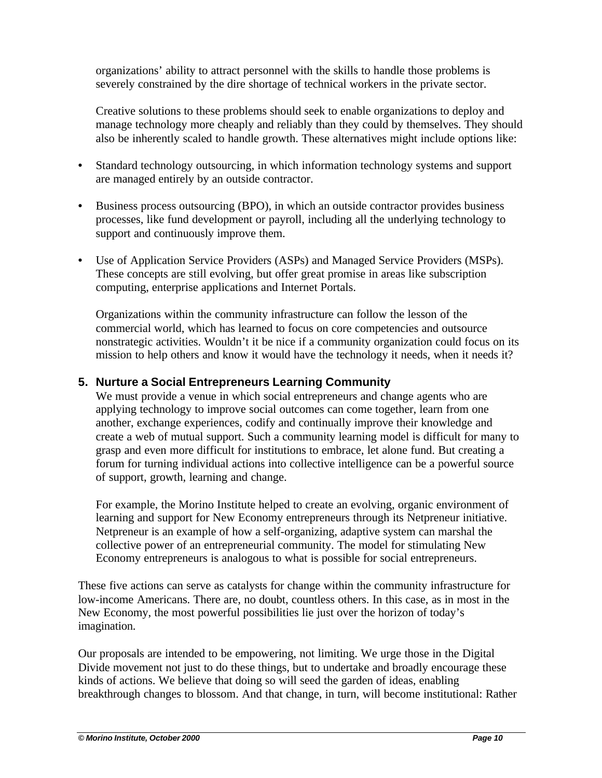organizations' ability to attract personnel with the skills to handle those problems is severely constrained by the dire shortage of technical workers in the private sector.

Creative solutions to these problems should seek to enable organizations to deploy and manage technology more cheaply and reliably than they could by themselves. They should also be inherently scaled to handle growth. These alternatives might include options like:

- Standard technology outsourcing, in which information technology systems and support are managed entirely by an outside contractor.
- Business process outsourcing (BPO), in which an outside contractor provides business processes, like fund development or payroll, including all the underlying technology to support and continuously improve them.
- Use of Application Service Providers (ASPs) and Managed Service Providers (MSPs). These concepts are still evolving, but offer great promise in areas like subscription computing, enterprise applications and Internet Portals.

Organizations within the community infrastructure can follow the lesson of the commercial world, which has learned to focus on core competencies and outsource nonstrategic activities. Wouldn't it be nice if a community organization could focus on its mission to help others and know it would have the technology it needs, when it needs it?

#### **5. Nurture a Social Entrepreneurs Learning Community**

We must provide a venue in which social entrepreneurs and change agents who are applying technology to improve social outcomes can come together, learn from one another, exchange experiences, codify and continually improve their knowledge and create a web of mutual support. Such a community learning model is difficult for many to grasp and even more difficult for institutions to embrace, let alone fund. But creating a forum for turning individual actions into collective intelligence can be a powerful source of support, growth, learning and change.

For example, the Morino Institute helped to create an evolving, organic environment of learning and support for New Economy entrepreneurs through its Netpreneur initiative. Netpreneur is an example of how a self-organizing, adaptive system can marshal the collective power of an entrepreneurial community. The model for stimulating New Economy entrepreneurs is analogous to what is possible for social entrepreneurs.

These five actions can serve as catalysts for change within the community infrastructure for low-income Americans. There are, no doubt, countless others. In this case, as in most in the New Economy, the most powerful possibilities lie just over the horizon of today's imagination.

Our proposals are intended to be empowering, not limiting. We urge those in the Digital Divide movement not just to do these things, but to undertake and broadly encourage these kinds of actions. We believe that doing so will seed the garden of ideas, enabling breakthrough changes to blossom. And that change, in turn, will become institutional: Rather